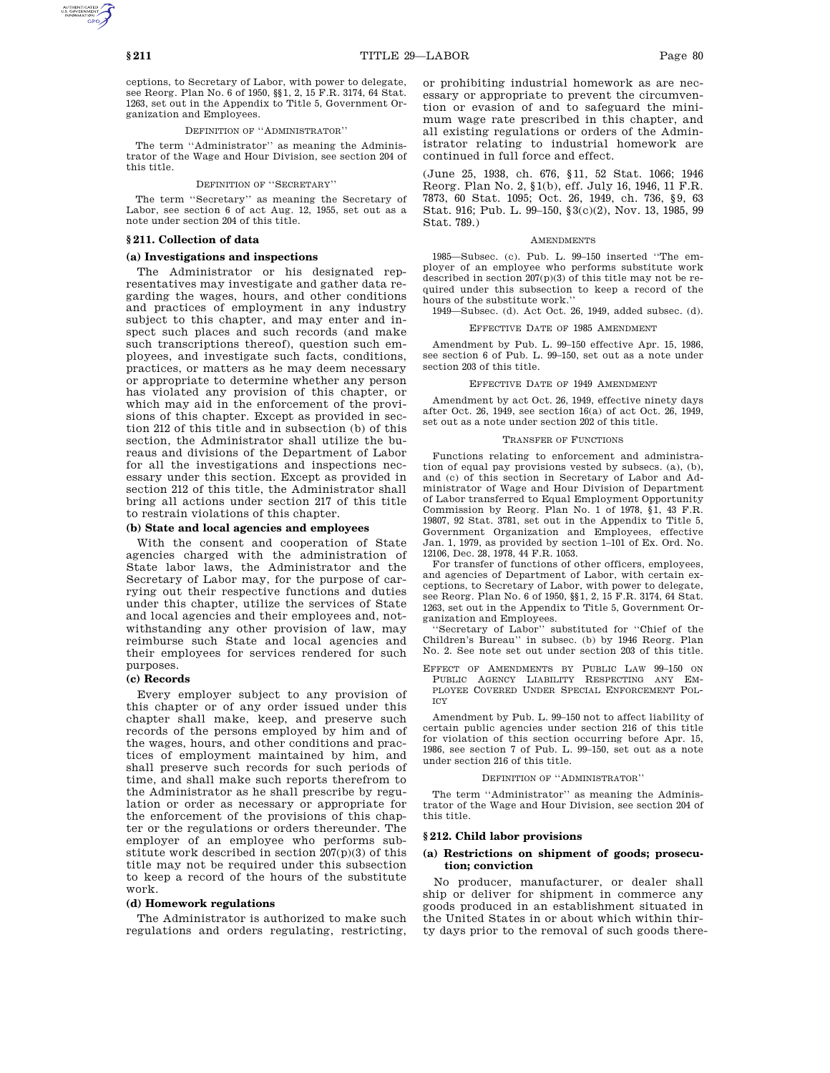ceptions, to Secretary of Labor, with power to delegate, see Reorg. Plan No. 6 of 1950, §§1, 2, 15 F.R. 3174, 64 Stat. 1263, set out in the Appendix to Title 5, Government Organization and Employees.

### DEFINITION OF ''ADMINISTRATOR''

The term ''Administrator'' as meaning the Administrator of the Wage and Hour Division, see section 204 of this title.

# DEFINITION OF ''SECRETARY''

The term ''Secretary'' as meaning the Secretary of Labor, see section 6 of act Aug. 12, 1955, set out as a note under section 204 of this title.

## **§ 211. Collection of data**

### **(a) Investigations and inspections**

The Administrator or his designated representatives may investigate and gather data regarding the wages, hours, and other conditions and practices of employment in any industry subject to this chapter, and may enter and inspect such places and such records (and make such transcriptions thereof), question such employees, and investigate such facts, conditions, practices, or matters as he may deem necessary or appropriate to determine whether any person has violated any provision of this chapter, or which may aid in the enforcement of the provisions of this chapter. Except as provided in section 212 of this title and in subsection (b) of this section, the Administrator shall utilize the bureaus and divisions of the Department of Labor for all the investigations and inspections necessary under this section. Except as provided in section 212 of this title, the Administrator shall bring all actions under section 217 of this title to restrain violations of this chapter.

## **(b) State and local agencies and employees**

With the consent and cooperation of State agencies charged with the administration of State labor laws, the Administrator and the Secretary of Labor may, for the purpose of carrying out their respective functions and duties under this chapter, utilize the services of State and local agencies and their employees and, notwithstanding any other provision of law, may reimburse such State and local agencies and their employees for services rendered for such purposes.

## **(c) Records**

Every employer subject to any provision of this chapter or of any order issued under this chapter shall make, keep, and preserve such records of the persons employed by him and of the wages, hours, and other conditions and practices of employment maintained by him, and shall preserve such records for such periods of time, and shall make such reports therefrom to the Administrator as he shall prescribe by regulation or order as necessary or appropriate for the enforcement of the provisions of this chapter or the regulations or orders thereunder. The employer of an employee who performs substitute work described in section 207(p)(3) of this title may not be required under this subsection to keep a record of the hours of the substitute work.

## **(d) Homework regulations**

The Administrator is authorized to make such regulations and orders regulating, restricting, or prohibiting industrial homework as are necessary or appropriate to prevent the circumvention or evasion of and to safeguard the minimum wage rate prescribed in this chapter, and all existing regulations or orders of the Administrator relating to industrial homework are continued in full force and effect.

(June 25, 1938, ch. 676, §11, 52 Stat. 1066; 1946 Reorg. Plan No. 2, §1(b), eff. July 16, 1946, 11 F.R. 7873, 60 Stat. 1095; Oct. 26, 1949, ch. 736, §9, 63 Stat. 916; Pub. L. 99–150, §3(c)(2), Nov. 13, 1985, 99 Stat. 789.)

### **AMENDMENTS**

1985—Subsec. (c). Pub. L. 99–150 inserted ''The employer of an employee who performs substitute work described in section  $207(p)(3)$  of this title may not be required under this subsection to keep a record of the hours of the substitute work.''

1949—Subsec. (d). Act Oct. 26, 1949, added subsec. (d).

# EFFECTIVE DATE OF 1985 AMENDMENT

Amendment by Pub. L. 99–150 effective Apr. 15, 1986, see section 6 of Pub. L. 99–150, set out as a note under section 203 of this title.

### EFFECTIVE DATE OF 1949 AMENDMENT

Amendment by act Oct. 26, 1949, effective ninety days after Oct. 26, 1949, see section 16(a) of act Oct. 26, 1949, set out as a note under section 202 of this title.

### TRANSFER OF FUNCTIONS

Functions relating to enforcement and administration of equal pay provisions vested by subsecs. (a), (b), and (c) of this section in Secretary of Labor and Administrator of Wage and Hour Division of Department of Labor transferred to Equal Employment Opportunity Commission by Reorg. Plan No. 1 of 1978, §1, 43 F.R. 19807, 92 Stat. 3781, set out in the Appendix to Title 5, Government Organization and Employees, effective Jan. 1, 1979, as provided by section 1–101 of Ex. Ord. No. 12106, Dec. 28, 1978, 44 F.R. 1053.

For transfer of functions of other officers, employees, and agencies of Department of Labor, with certain exceptions, to Secretary of Labor, with power to delegate, see Reorg. Plan No. 6 of 1950, §§1, 2, 15 F.R. 3174, 64 Stat. 1263, set out in the Appendix to Title 5, Government Organization and Employees.

''Secretary of Labor'' substituted for ''Chief of the Children's Bureau'' in subsec. (b) by 1946 Reorg. Plan No. 2. See note set out under section 203 of this title.

EFFECT OF AMENDMENTS BY PUBLIC LAW 99–150 ON PUBLIC AGENCY LIABILITY RESPECTING ANY EM-PLOYEE COVERED UNDER SPECIAL ENFORCEMENT POL-ICY

Amendment by Pub. L. 99–150 not to affect liability of certain public agencies under section 216 of this title for violation of this section occurring before Apr. 15, 1986, see section 7 of Pub. L. 99–150, set out as a note under section 216 of this title.

#### DEFINITION OF ''ADMINISTRATOR''

The term ''Administrator'' as meaning the Administrator of the Wage and Hour Division, see section 204 of this title.

### **§ 212. Child labor provisions**

### **(a) Restrictions on shipment of goods; prosecution; conviction**

No producer, manufacturer, or dealer shall ship or deliver for shipment in commerce any goods produced in an establishment situated in the United States in or about which within thirty days prior to the removal of such goods there-